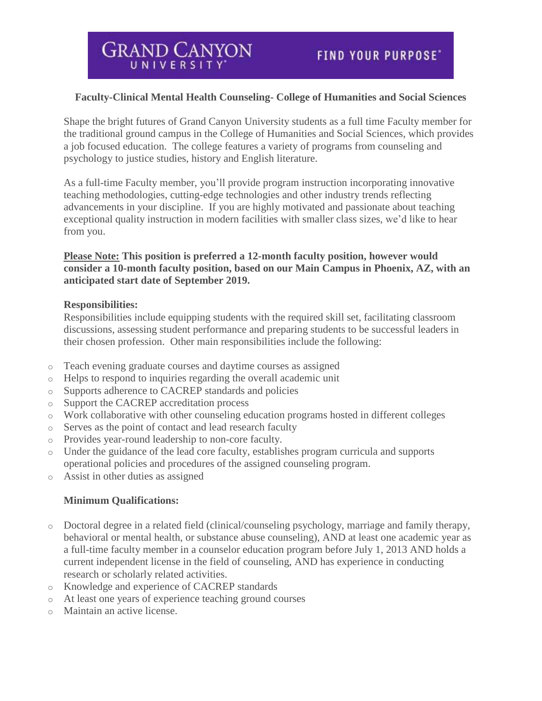## **Faculty-Clinical Mental Health Counseling- College of Humanities and Social Sciences**

Shape the bright futures of Grand Canyon University students as a full time Faculty member for the traditional ground campus in the College of Humanities and Social Sciences, which provides a job focused education. The college features a variety of programs from counseling and psychology to justice studies, history and English literature.

As a full-time Faculty member, you'll provide program instruction incorporating innovative teaching methodologies, cutting-edge technologies and other industry trends reflecting advancements in your discipline. If you are highly motivated and passionate about teaching exceptional quality instruction in modern facilities with smaller class sizes, we'd like to hear from you.

### **Please Note: This position is preferred a 12-month faculty position, however would consider a 10-month faculty position, based on our Main Campus in Phoenix, AZ, with an anticipated start date of September 2019.**

#### **Responsibilities:**

Responsibilities include equipping students with the required skill set, facilitating classroom discussions, assessing student performance and preparing students to be successful leaders in their chosen profession. Other main responsibilities include the following:

- o Teach evening graduate courses and daytime courses as assigned
- o Helps to respond to inquiries regarding the overall academic unit
- o Supports adherence to CACREP standards and policies
- o Support the CACREP accreditation process
- o Work collaborative with other counseling education programs hosted in different colleges
- o Serves as the point of contact and lead research faculty
- o Provides year-round leadership to non-core faculty.
- o Under the guidance of the lead core faculty, establishes program curricula and supports operational policies and procedures of the assigned counseling program.
- o Assist in other duties as assigned

### **Minimum Qualifications:**

- o Doctoral degree in a related field (clinical/counseling psychology, marriage and family therapy, behavioral or mental health, or substance abuse counseling), AND at least one academic year as a full-time faculty member in a counselor education program before July 1, 2013 AND holds a current independent license in the field of counseling, AND has experience in conducting research or scholarly related activities.
- o Knowledge and experience of CACREP standards
- o At least one years of experience teaching ground courses
- o Maintain an active license.